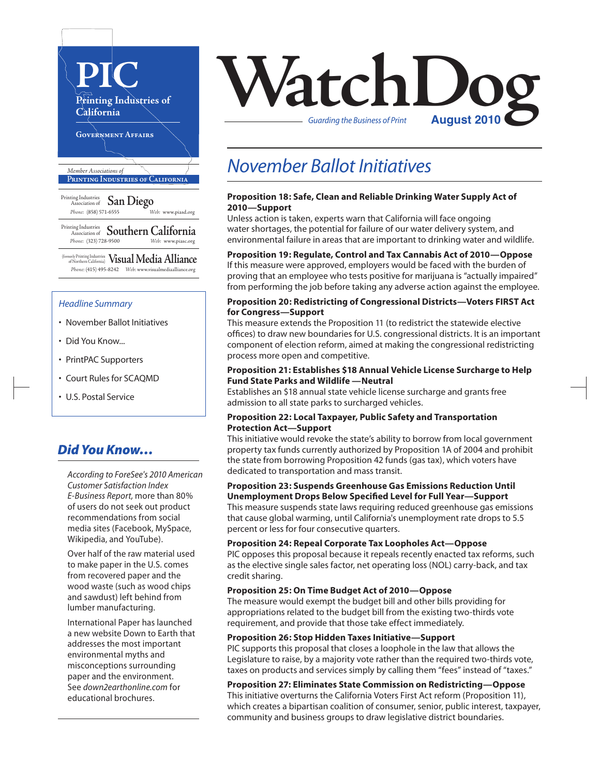

 *Phone:* (415) 495-8242 *Web:* www.visualmediaalliance.org

#### *Headline Summary*

- November Ballot Initiatives
- Did You Know...
- PrintPAC Supporters
- Court Rules for SCAQMD
- U.S. Postal Service

### *Did You Know…*

*According to ForeSee's 2010 American Customer Satisfaction Index E-Business Report,* more than 80% of users do not seek out product recommendations from social media sites (Facebook, MySpace, Wikipedia, and YouTube).

Over half of the raw material used to make paper in the U.S. comes from recovered paper and the wood waste (such as wood chips and sawdust) left behind from lumber manufacturing.

International Paper has launched a new website Down to Earth that addresses the most important environmental myths and misconceptions surrounding paper and the environment. See *down2earthonline.com* for educational brochures.



### *November Ballot Initiatives*

#### **Proposition 18: Safe, Clean and Reliable Drinking Water Supply Act of 2010—Support**

Unless action is taken, experts warn that California will face ongoing water shortages, the potential for failure of our water delivery system, and environmental failure in areas that are important to drinking water and wildlife.

#### **Proposition 19: Regulate, Control and Tax Cannabis Act of 2010—Oppose**

If this measure were approved, employers would be faced with the burden of proving that an employee who tests positive for marijuana is "actually impaired" from performing the job before taking any adverse action against the employee.

#### **Proposition 20: Redistricting of Congressional Districts—Voters FIRST Act for Congress—Support**

This measure extends the Proposition 11 (to redistrict the statewide elective offices) to draw new boundaries for U.S. congressional districts. It is an important component of election reform, aimed at making the congressional redistricting process more open and competitive.

#### **Proposition 21: Establishes \$18 Annual Vehicle License Surcharge to Help Fund State Parks and Wildlife —Neutral**

Establishes an \$18 annual state vehicle license surcharge and grants free admission to all state parks to surcharged vehicles.

#### **Proposition 22: Local Taxpayer, Public Safety and Transportation Protection Act—Support**

This initiative would revoke the state's ability to borrow from local government property tax funds currently authorized by Proposition 1A of 2004 and prohibit the state from borrowing Proposition 42 funds (gas tax), which voters have dedicated to transportation and mass transit.

#### **Proposition 23: Suspends Greenhouse Gas Emissions Reduction Until Unemployment Drops Below Specified Level for Full Year—Support**

This measure suspends state laws requiring reduced greenhouse gas emissions that cause global warming, until California's unemployment rate drops to 5.5 percent or less for four consecutive quarters.

#### **Proposition 24: Repeal Corporate Tax Loopholes Act—Oppose**

PIC opposes this proposal because it repeals recently enacted tax reforms, such as the elective single sales factor, net operating loss (NOL) carry-back, and tax credit sharing.

#### **Proposition 25: On Time Budget Act of 2010—Oppose**

The measure would exempt the budget bill and other bills providing for appropriations related to the budget bill from the existing two-thirds vote requirement, and provide that those take effect immediately.

#### **Proposition 26: Stop Hidden Taxes Initiative—Support**

PIC supports this proposal that closes a loophole in the law that allows the Legislature to raise, by a majority vote rather than the required two-thirds vote, taxes on products and services simply by calling them "fees" instead of "taxes."

### **Proposition 27: Eliminates State Commission on Redistricting—Oppose**

This initiative overturns the California Voters First Act reform (Proposition 11), which creates a bipartisan coalition of consumer, senior, public interest, taxpayer, community and business groups to draw legislative district boundaries.